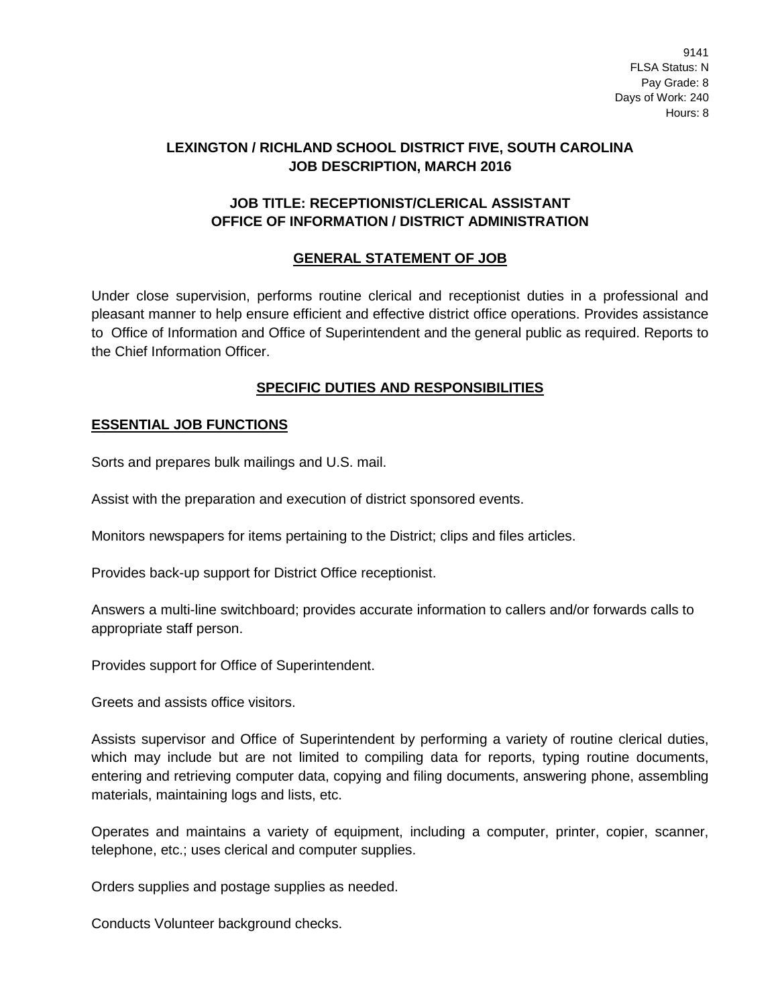9141 FLSA Status: N Pay Grade: 8 Days of Work: 240 Hours: 8

# **LEXINGTON / RICHLAND SCHOOL DISTRICT FIVE, SOUTH CAROLINA JOB DESCRIPTION, MARCH 2016**

## **JOB TITLE: RECEPTIONIST/CLERICAL ASSISTANT OFFICE OF INFORMATION / DISTRICT ADMINISTRATION**

# **GENERAL STATEMENT OF JOB**

Under close supervision, performs routine clerical and receptionist duties in a professional and pleasant manner to help ensure efficient and effective district office operations. Provides assistance to Office of Information and Office of Superintendent and the general public as required. Reports to the Chief Information Officer.

### **SPECIFIC DUTIES AND RESPONSIBILITIES**

### **ESSENTIAL JOB FUNCTIONS**

Sorts and prepares bulk mailings and U.S. mail.

Assist with the preparation and execution of district sponsored events.

Monitors newspapers for items pertaining to the District; clips and files articles.

Provides back-up support for District Office receptionist.

Answers a multi-line switchboard; provides accurate information to callers and/or forwards calls to appropriate staff person.

Provides support for Office of Superintendent.

Greets and assists office visitors.

Assists supervisor and Office of Superintendent by performing a variety of routine clerical duties, which may include but are not limited to compiling data for reports, typing routine documents, entering and retrieving computer data, copying and filing documents, answering phone, assembling materials, maintaining logs and lists, etc.

Operates and maintains a variety of equipment, including a computer, printer, copier, scanner, telephone, etc.; uses clerical and computer supplies.

Orders supplies and postage supplies as needed.

Conducts Volunteer background checks.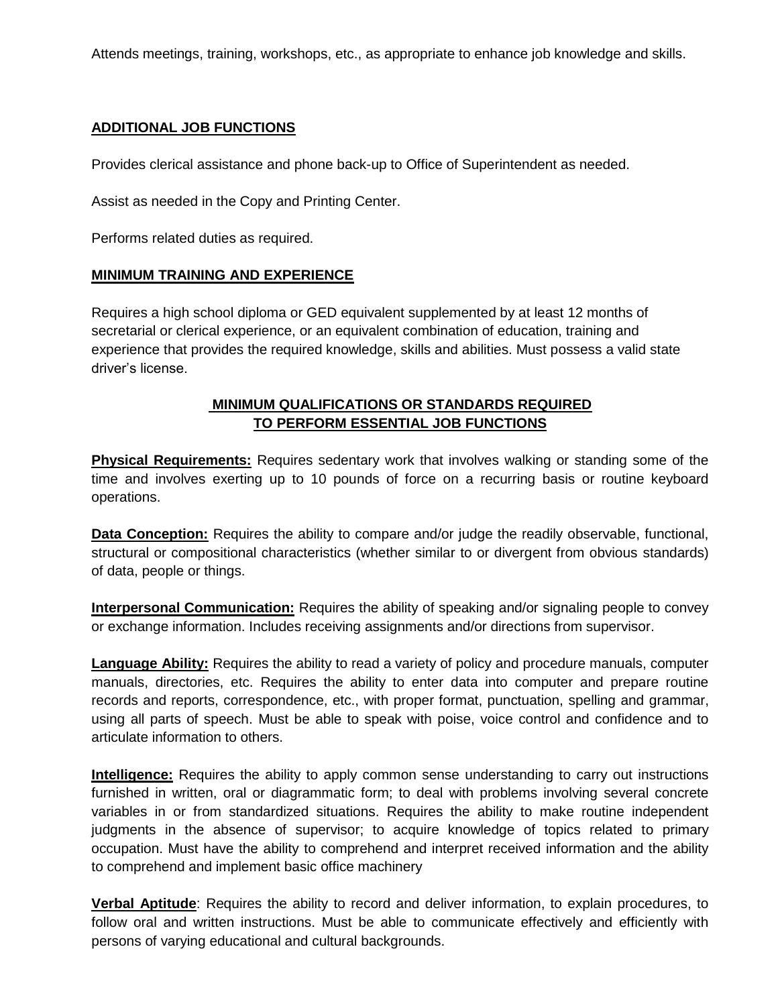Attends meetings, training, workshops, etc., as appropriate to enhance job knowledge and skills.

### **ADDITIONAL JOB FUNCTIONS**

Provides clerical assistance and phone back-up to Office of Superintendent as needed.

Assist as needed in the Copy and Printing Center.

Performs related duties as required.

#### **MINIMUM TRAINING AND EXPERIENCE**

Requires a high school diploma or GED equivalent supplemented by at least 12 months of secretarial or clerical experience, or an equivalent combination of education, training and experience that provides the required knowledge, skills and abilities. Must possess a valid state driver's license.

# **MINIMUM QUALIFICATIONS OR STANDARDS REQUIRED TO PERFORM ESSENTIAL JOB FUNCTIONS**

**Physical Requirements:** Requires sedentary work that involves walking or standing some of the time and involves exerting up to 10 pounds of force on a recurring basis or routine keyboard operations.

**Data Conception:** Requires the ability to compare and/or judge the readily observable, functional, structural or compositional characteristics (whether similar to or divergent from obvious standards) of data, people or things.

**Interpersonal Communication:** Requires the ability of speaking and/or signaling people to convey or exchange information. Includes receiving assignments and/or directions from supervisor.

**Language Ability:** Requires the ability to read a variety of policy and procedure manuals, computer manuals, directories, etc. Requires the ability to enter data into computer and prepare routine records and reports, correspondence, etc., with proper format, punctuation, spelling and grammar, using all parts of speech. Must be able to speak with poise, voice control and confidence and to articulate information to others.

**Intelligence:** Requires the ability to apply common sense understanding to carry out instructions furnished in written, oral or diagrammatic form; to deal with problems involving several concrete variables in or from standardized situations. Requires the ability to make routine independent judgments in the absence of supervisor; to acquire knowledge of topics related to primary occupation. Must have the ability to comprehend and interpret received information and the ability to comprehend and implement basic office machinery

**Verbal Aptitude**: Requires the ability to record and deliver information, to explain procedures, to follow oral and written instructions. Must be able to communicate effectively and efficiently with persons of varying educational and cultural backgrounds.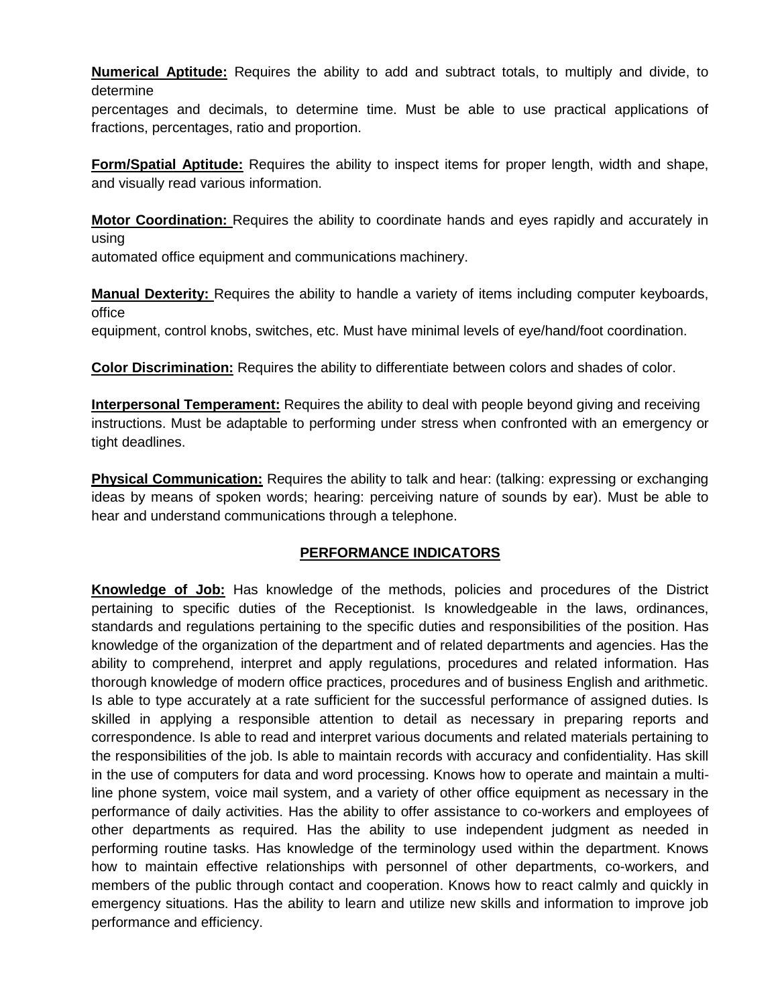**Numerical Aptitude:** Requires the ability to add and subtract totals, to multiply and divide, to determine

percentages and decimals, to determine time. Must be able to use practical applications of fractions, percentages, ratio and proportion.

**Form/Spatial Aptitude:** Requires the ability to inspect items for proper length, width and shape, and visually read various information.

**Motor Coordination:** Requires the ability to coordinate hands and eyes rapidly and accurately in using

automated office equipment and communications machinery.

**Manual Dexterity:** Requires the ability to handle a variety of items including computer keyboards, office

equipment, control knobs, switches, etc. Must have minimal levels of eye/hand/foot coordination.

**Color Discrimination:** Requires the ability to differentiate between colors and shades of color.

**Interpersonal Temperament:** Requires the ability to deal with people beyond giving and receiving instructions. Must be adaptable to performing under stress when confronted with an emergency or tight deadlines.

**Physical Communication:** Requires the ability to talk and hear: (talking: expressing or exchanging ideas by means of spoken words; hearing: perceiving nature of sounds by ear). Must be able to hear and understand communications through a telephone.

# **PERFORMANCE INDICATORS**

**Knowledge of Job:** Has knowledge of the methods, policies and procedures of the District pertaining to specific duties of the Receptionist. Is knowledgeable in the laws, ordinances, standards and regulations pertaining to the specific duties and responsibilities of the position. Has knowledge of the organization of the department and of related departments and agencies. Has the ability to comprehend, interpret and apply regulations, procedures and related information. Has thorough knowledge of modern office practices, procedures and of business English and arithmetic. Is able to type accurately at a rate sufficient for the successful performance of assigned duties. Is skilled in applying a responsible attention to detail as necessary in preparing reports and correspondence. Is able to read and interpret various documents and related materials pertaining to the responsibilities of the job. Is able to maintain records with accuracy and confidentiality. Has skill in the use of computers for data and word processing. Knows how to operate and maintain a multiline phone system, voice mail system, and a variety of other office equipment as necessary in the performance of daily activities. Has the ability to offer assistance to co-workers and employees of other departments as required. Has the ability to use independent judgment as needed in performing routine tasks. Has knowledge of the terminology used within the department. Knows how to maintain effective relationships with personnel of other departments, co-workers, and members of the public through contact and cooperation. Knows how to react calmly and quickly in emergency situations. Has the ability to learn and utilize new skills and information to improve job performance and efficiency.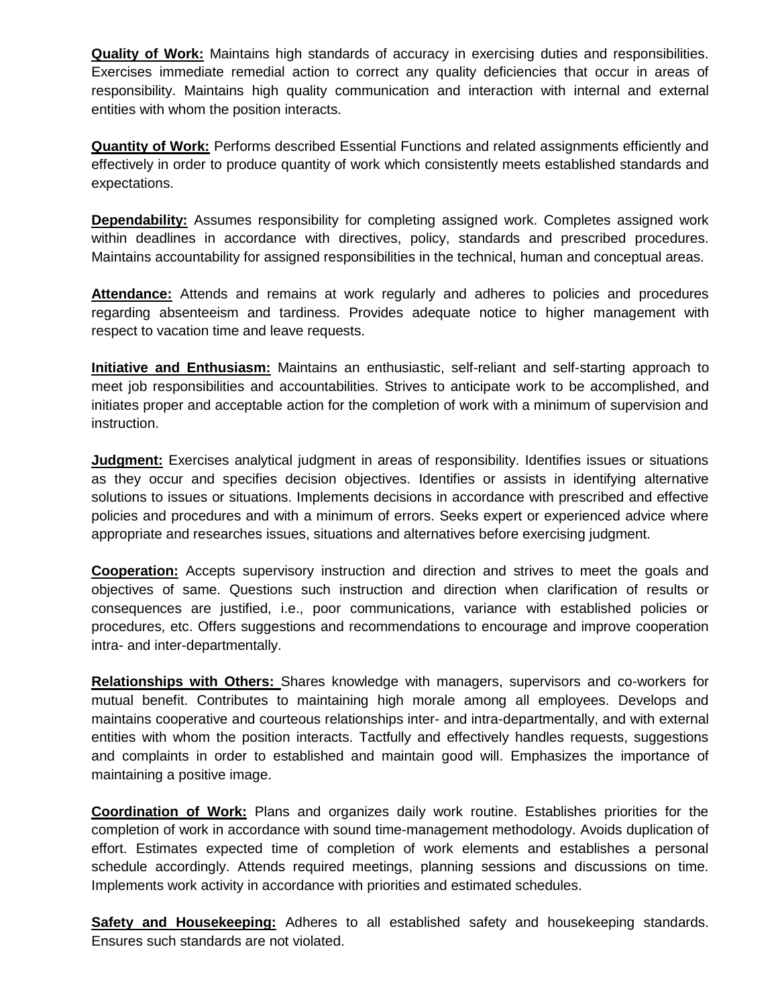**Quality of Work:** Maintains high standards of accuracy in exercising duties and responsibilities. Exercises immediate remedial action to correct any quality deficiencies that occur in areas of responsibility. Maintains high quality communication and interaction with internal and external entities with whom the position interacts.

**Quantity of Work:** Performs described Essential Functions and related assignments efficiently and effectively in order to produce quantity of work which consistently meets established standards and expectations.

**Dependability:** Assumes responsibility for completing assigned work. Completes assigned work within deadlines in accordance with directives, policy, standards and prescribed procedures. Maintains accountability for assigned responsibilities in the technical, human and conceptual areas.

**Attendance:** Attends and remains at work regularly and adheres to policies and procedures regarding absenteeism and tardiness. Provides adequate notice to higher management with respect to vacation time and leave requests.

**Initiative and Enthusiasm:** Maintains an enthusiastic, self-reliant and self-starting approach to meet job responsibilities and accountabilities. Strives to anticipate work to be accomplished, and initiates proper and acceptable action for the completion of work with a minimum of supervision and instruction.

**Judgment:** Exercises analytical judgment in areas of responsibility. Identifies issues or situations as they occur and specifies decision objectives. Identifies or assists in identifying alternative solutions to issues or situations. Implements decisions in accordance with prescribed and effective policies and procedures and with a minimum of errors. Seeks expert or experienced advice where appropriate and researches issues, situations and alternatives before exercising judgment.

**Cooperation:** Accepts supervisory instruction and direction and strives to meet the goals and objectives of same. Questions such instruction and direction when clarification of results or consequences are justified, i.e., poor communications, variance with established policies or procedures, etc. Offers suggestions and recommendations to encourage and improve cooperation intra- and inter-departmentally.

**Relationships with Others:** Shares knowledge with managers, supervisors and co-workers for mutual benefit. Contributes to maintaining high morale among all employees. Develops and maintains cooperative and courteous relationships inter- and intra-departmentally, and with external entities with whom the position interacts. Tactfully and effectively handles requests, suggestions and complaints in order to established and maintain good will. Emphasizes the importance of maintaining a positive image.

**Coordination of Work:** Plans and organizes daily work routine. Establishes priorities for the completion of work in accordance with sound time-management methodology. Avoids duplication of effort. Estimates expected time of completion of work elements and establishes a personal schedule accordingly. Attends required meetings, planning sessions and discussions on time. Implements work activity in accordance with priorities and estimated schedules.

**Safety and Housekeeping:** Adheres to all established safety and housekeeping standards. Ensures such standards are not violated.